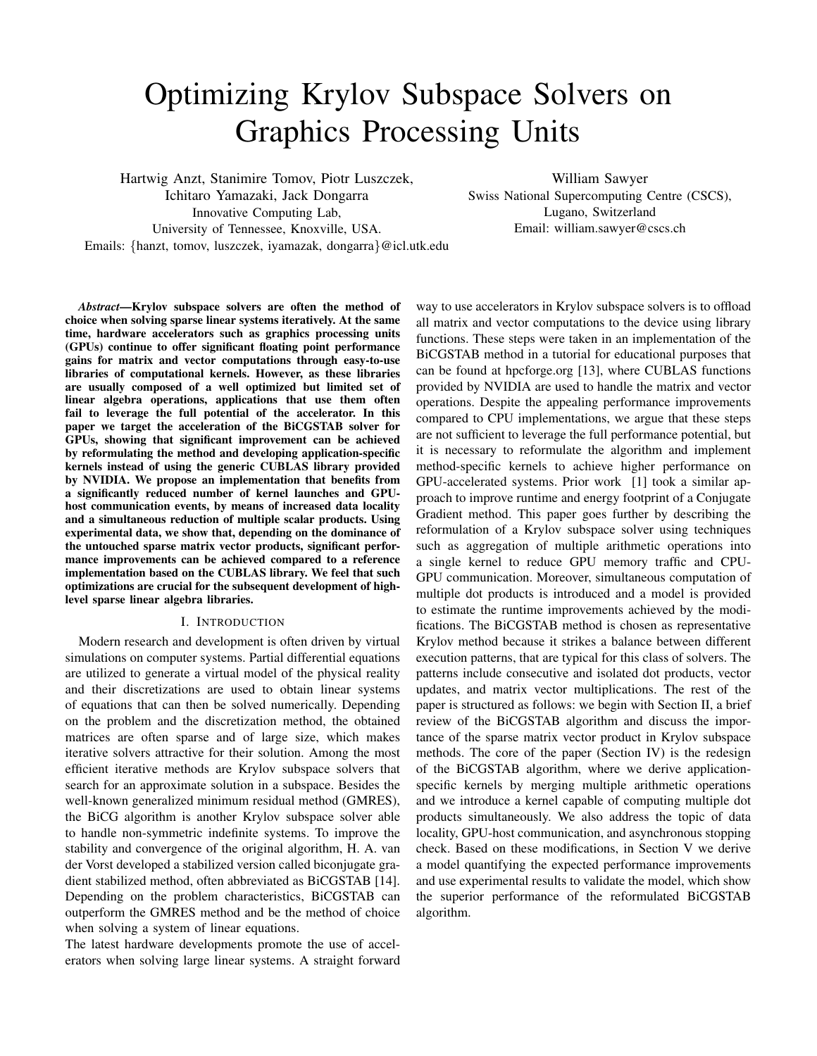# Optimizing Krylov Subspace Solvers on Graphics Processing Units

Hartwig Anzt, Stanimire Tomov, Piotr Luszczek, Ichitaro Yamazaki, Jack Dongarra Innovative Computing Lab, University of Tennessee, Knoxville, USA. Emails: {hanzt, tomov, luszczek, iyamazak, dongarra}@icl.utk.edu William Sawyer

Swiss National Supercomputing Centre (CSCS), Lugano, Switzerland Email: william.sawyer@cscs.ch

*Abstract*—Krylov subspace solvers are often the method of choice when solving sparse linear systems iteratively. At the same time, hardware accelerators such as graphics processing units (GPUs) continue to offer significant floating point performance gains for matrix and vector computations through easy-to-use libraries of computational kernels. However, as these libraries are usually composed of a well optimized but limited set of linear algebra operations, applications that use them often fail to leverage the full potential of the accelerator. In this paper we target the acceleration of the BiCGSTAB solver for GPUs, showing that significant improvement can be achieved by reformulating the method and developing application-specific

kernels instead of using the generic CUBLAS library provided by NVIDIA. We propose an implementation that benefits from a significantly reduced number of kernel launches and GPUhost communication events, by means of increased data locality and a simultaneous reduction of multiple scalar products. Using experimental data, we show that, depending on the dominance of the untouched sparse matrix vector products, significant performance improvements can be achieved compared to a reference implementation based on the CUBLAS library. We feel that such optimizations are crucial for the subsequent development of highlevel sparse linear algebra libraries.

#### I. INTRODUCTION

Modern research and development is often driven by virtual simulations on computer systems. Partial differential equations are utilized to generate a virtual model of the physical reality and their discretizations are used to obtain linear systems of equations that can then be solved numerically. Depending on the problem and the discretization method, the obtained matrices are often sparse and of large size, which makes iterative solvers attractive for their solution. Among the most efficient iterative methods are Krylov subspace solvers that search for an approximate solution in a subspace. Besides the well-known generalized minimum residual method (GMRES), the BiCG algorithm is another Krylov subspace solver able to handle non-symmetric indefinite systems. To improve the stability and convergence of the original algorithm, H. A. van der Vorst developed a stabilized version called biconjugate gradient stabilized method, often abbreviated as BiCGSTAB [14]. Depending on the problem characteristics, BiCGSTAB can outperform the GMRES method and be the method of choice when solving a system of linear equations.

The latest hardware developments promote the use of accelerators when solving large linear systems. A straight forward way to use accelerators in Krylov subspace solvers is to offload all matrix and vector computations to the device using library functions. These steps were taken in an implementation of the BiCGSTAB method in a tutorial for educational purposes that can be found at hpcforge.org [13], where CUBLAS functions provided by NVIDIA are used to handle the matrix and vector operations. Despite the appealing performance improvements compared to CPU implementations, we argue that these steps are not sufficient to leverage the full performance potential, but it is necessary to reformulate the algorithm and implement method-specific kernels to achieve higher performance on GPU-accelerated systems. Prior work [1] took a similar approach to improve runtime and energy footprint of a Conjugate Gradient method. This paper goes further by describing the reformulation of a Krylov subspace solver using techniques such as aggregation of multiple arithmetic operations into a single kernel to reduce GPU memory traffic and CPU-GPU communication. Moreover, simultaneous computation of multiple dot products is introduced and a model is provided to estimate the runtime improvements achieved by the modifications. The BiCGSTAB method is chosen as representative Krylov method because it strikes a balance between different execution patterns, that are typical for this class of solvers. The patterns include consecutive and isolated dot products, vector updates, and matrix vector multiplications. The rest of the paper is structured as follows: we begin with Section II, a brief review of the BiCGSTAB algorithm and discuss the importance of the sparse matrix vector product in Krylov subspace methods. The core of the paper (Section IV) is the redesign of the BiCGSTAB algorithm, where we derive applicationspecific kernels by merging multiple arithmetic operations and we introduce a kernel capable of computing multiple dot products simultaneously. We also address the topic of data locality, GPU-host communication, and asynchronous stopping check. Based on these modifications, in Section V we derive a model quantifying the expected performance improvements and use experimental results to validate the model, which show the superior performance of the reformulated BiCGSTAB algorithm.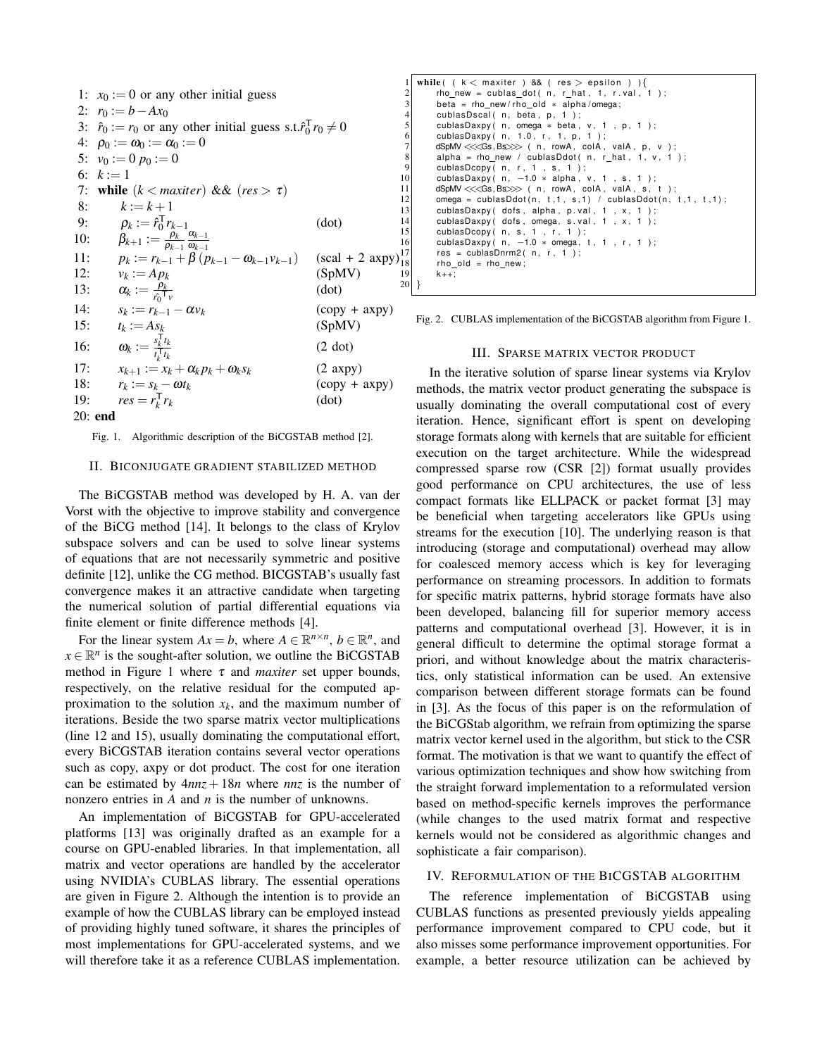1:  $x_0 := 0$  or any other initial guess 2:  $r_0 := b - Ax_0$ 3:  $\hat{r}_0 := r_0$  or any other initial guess s.t. $\hat{r}_0^T r_0 \neq 0$ 4:  $\rho_0 := \omega_0 := \alpha_0 := 0$ 5:  $v_0 := 0$   $p_0 := 0$ 6:  $k := 1$ 7: while  $(k <$  *maxiter*) &&  $(res > \tau)$ 8:  $k := k + 1$ 9:  $\rho_k := \hat{r}_0^{\mathsf{T}} r_{k-1}$  (dot) 10:  $\beta_{k+1} := \frac{\rho_k}{\rho_k}$ ρ*k*−1  $\alpha_{k-1}$ ω*k*−1 11:  $p_k := r_{k-1} + \beta (p_{k-1} - \omega_{k-1} v_{k-1})$  (scal + 2 axpy) 12:  $v_k := Ap_k$ := *Ap<sup>k</sup>* (SpMV) 13:  $\alpha_k := \frac{\rho_k}{\hat{p}_k}$  $\overline{r_0}$ <sup>T</sup>*v* (dot) 14: *s<sup>k</sup>*  $s_k := r_{k-1} - \alpha v_k$  (copy + axpy) 15: *t<sup>k</sup>*  $:= As_k$  (SpMV) 16:  $\omega_k := \frac{s_k^{\text{T}} t_k}{t^{\text{T}} t_k}$  $t_k^{\mathsf{T}} t_k$ (2 dot) 17:  $x_{k+1} := x_k + \alpha_k p_k + \omega_k s_k$  (2 axpy) 18:  $r_k := s_k - \omega t_k$ := *s<sup>k</sup>* −ω*t<sup>k</sup>* (copy + axpy) 19:  $res = r_k^{\text{T}}$ *r<sup>k</sup>* (dot) 20: end

Fig. 1. Algorithmic description of the BiCGSTAB method [2].

#### II. BICONJUGATE GRADIENT STABILIZED METHOD

The BiCGSTAB method was developed by H. A. van der Vorst with the objective to improve stability and convergence of the BiCG method [14]. It belongs to the class of Krylov subspace solvers and can be used to solve linear systems of equations that are not necessarily symmetric and positive definite [12], unlike the CG method. BICGSTAB's usually fast convergence makes it an attractive candidate when targeting the numerical solution of partial differential equations via finite element or finite difference methods [4].

For the linear system  $Ax = b$ , where  $A \in \mathbb{R}^{n \times n}$ ,  $b \in \mathbb{R}^n$ , and  $x \in \mathbb{R}^n$  is the sought-after solution, we outline the BiCGSTAB method in Figure 1 where  $\tau$  and *maxiter* set upper bounds, respectively, on the relative residual for the computed approximation to the solution  $x_k$ , and the maximum number of iterations. Beside the two sparse matrix vector multiplications (line 12 and 15), usually dominating the computational effort, every BiCGSTAB iteration contains several vector operations such as copy, axpy or dot product. The cost for one iteration can be estimated by  $4nnz + 18n$  where  $nnz$  is the number of nonzero entries in *A* and *n* is the number of unknowns.

An implementation of BiCGSTAB for GPU-accelerated platforms [13] was originally drafted as an example for a course on GPU-enabled libraries. In that implementation, all matrix and vector operations are handled by the accelerator using NVIDIA's CUBLAS library. The essential operations are given in Figure 2. Although the intention is to provide an example of how the CUBLAS library can be employed instead of providing highly tuned software, it shares the principles of most implementations for GPU-accelerated systems, and we will therefore take it as a reference CUBLAS implementation.

```
1 while ( (k < maxiter ) && ( res > epsilon ) ) {<br>
2 \times 100 rho new = cublas dot( n. r hat, 1, r val, 1);
            rho_new = cublas\_dot( n, r_hat, 1, r.val,3 beta = rho_new/rho_old * alpha/omega;<br>4 cublasDscal(n. beta. p. 1):
            cublasDscal(n, beta, p, 1);
 5 cublasDaxpy ( n, omega * beta, v, 1, p, 1);
 6 cublasDaxpy ( n, 1.0, r, 1, p, 1 );
 7 dSpMV \ll\llGs, Bs\gg ( n, rowA, colA, valA, p, v );
 8 alpha = rho_new / cublasDdot( n, r_hat, 1, v, 1 );<br>9 cublasDcopy( n, r, 1 , s, 1 );
9 cublasDcopy ( n, r, 1 , s, 1 );<br>10 cublasDaxpy ( n, -1.0 * alpha, )
10 cublasDaxpy ( n, -1.0 ∗ alpha, v, 1, s, 1 );<br>11 dSpMV \ll Gs, Bs>>> ( n, rowA, colA, valA, s,
11 dSpMV \ll Gs, Bs >>> ( n, rowA, colA, valA, s, t );<br>12 omega = cublasDdot(n, t, 1, s, 1) / cublasDdot(n,
12 omega = cublasDdot(n, t,1, s,1) / cublasDdot(n, t,1, t,1);<br>13 cublasDaxpy(dofs, alpha, p.val, 1, x, 1);
13 cublasDaxpy ( dofs, alpha, p. val, 1, x, 1);<br>14 cublasDaxpy ( dofs, omega, s. val, 1, x, 1);
14 cublasDaxpy (dofs, omega, s.val, 1, x, 1);<br>15 cublasDcopy (n, s, 1, r, 1);
15 cublasDcopy( n, s, 1 , r, 1 );<br>16 cublasDaxpy( n, −1.0 * omega, t, 1 , r, 1 );
\begin{bmatrix} 17 \\ 18 \end{bmatrix} res = cublasDnrm2(n, r, 1);<br>\begin{bmatrix} 18 \\ 18 \end{bmatrix} rho old = rho new:
\begin{array}{lll} 18 & \text{rho\_old} = \text{rho\_new}; \\ 19 & \text{k++}: \end{array}k + +;20 }
```
Fig. 2. CUBLAS implementation of the BiCGSTAB algorithm from Figure 1.

#### III. SPARSE MATRIX VECTOR PRODUCT

In the iterative solution of sparse linear systems via Krylov methods, the matrix vector product generating the subspace is usually dominating the overall computational cost of every iteration. Hence, significant effort is spent on developing storage formats along with kernels that are suitable for efficient execution on the target architecture. While the widespread compressed sparse row (CSR [2]) format usually provides good performance on CPU architectures, the use of less compact formats like ELLPACK or packet format [3] may be beneficial when targeting accelerators like GPUs using streams for the execution [10]. The underlying reason is that introducing (storage and computational) overhead may allow for coalesced memory access which is key for leveraging performance on streaming processors. In addition to formats for specific matrix patterns, hybrid storage formats have also been developed, balancing fill for superior memory access patterns and computational overhead [3]. However, it is in general difficult to determine the optimal storage format a priori, and without knowledge about the matrix characteristics, only statistical information can be used. An extensive comparison between different storage formats can be found in [3]. As the focus of this paper is on the reformulation of the BiCGStab algorithm, we refrain from optimizing the sparse matrix vector kernel used in the algorithm, but stick to the CSR format. The motivation is that we want to quantify the effect of various optimization techniques and show how switching from the straight forward implementation to a reformulated version based on method-specific kernels improves the performance (while changes to the used matrix format and respective kernels would not be considered as algorithmic changes and sophisticate a fair comparison).

#### IV. REFORMULATION OF THE BICGSTAB ALGORITHM

The reference implementation of BiCGSTAB using CUBLAS functions as presented previously yields appealing performance improvement compared to CPU code, but it also misses some performance improvement opportunities. For example, a better resource utilization can be achieved by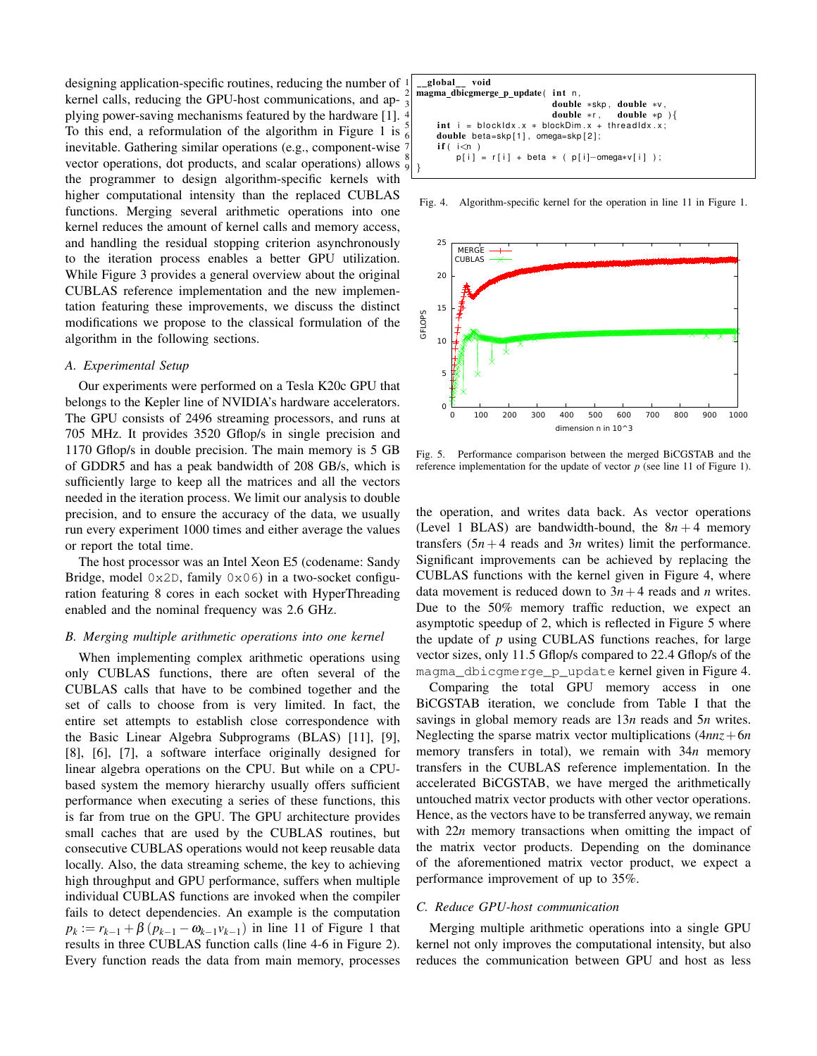designing application-specific routines, reducing the number of kernel calls, reducing the GPU-host communications, and applying power-saving mechanisms featured by the hardware [1]. To this end, a reformulation of the algorithm in Figure 1 is  $\lambda$ inevitable. Gathering similar operations (e.g., component-wise vector operations, dot products, and scalar operations) allows  $\frac{9}{9}$ the programmer to design algorithm-specific kernels with higher computational intensity than the replaced CUBLAS functions. Merging several arithmetic operations into one kernel reduces the amount of kernel calls and memory access, and handling the residual stopping criterion asynchronously to the iteration process enables a better GPU utilization. While Figure 3 provides a general overview about the original CUBLAS reference implementation and the new implementation featuring these improvements, we discuss the distinct modifications we propose to the classical formulation of the algorithm in the following sections.

# *A. Experimental Setup*

Our experiments were performed on a Tesla K20c GPU that belongs to the Kepler line of NVIDIA's hardware accelerators. The GPU consists of 2496 streaming processors, and runs at 705 MHz. It provides 3520 Gflop/s in single precision and 1170 Gflop/s in double precision. The main memory is 5 GB of GDDR5 and has a peak bandwidth of 208 GB/s, which is sufficiently large to keep all the matrices and all the vectors needed in the iteration process. We limit our analysis to double precision, and to ensure the accuracy of the data, we usually run every experiment 1000 times and either average the values or report the total time.

The host processor was an Intel Xeon E5 (codename: Sandy Bridge, model  $0 \times 2D$ , family  $0 \times 06$ ) in a two-socket configuration featuring 8 cores in each socket with HyperThreading enabled and the nominal frequency was 2.6 GHz.

### *B. Merging multiple arithmetic operations into one kernel*

When implementing complex arithmetic operations using only CUBLAS functions, there are often several of the CUBLAS calls that have to be combined together and the set of calls to choose from is very limited. In fact, the entire set attempts to establish close correspondence with the Basic Linear Algebra Subprograms (BLAS) [11], [9], [8], [6], [7], a software interface originally designed for linear algebra operations on the CPU. But while on a CPUbased system the memory hierarchy usually offers sufficient performance when executing a series of these functions, this is far from true on the GPU. The GPU architecture provides small caches that are used by the CUBLAS routines, but consecutive CUBLAS operations would not keep reusable data locally. Also, the data streaming scheme, the key to achieving high throughput and GPU performance, suffers when multiple individual CUBLAS functions are invoked when the compiler fails to detect dependencies. An example is the computation  $p_k := r_{k-1} + \beta (p_{k-1} - \omega_{k-1} v_{k-1})$  in line 11 of Figure 1 that results in three CUBLAS function calls (line 4-6 in Figure 2). Every function reads the data from main memory, processes



Fig. 4. Algorithm-specific kernel for the operation in line 11 in Figure 1.



Fig. 5. Performance comparison between the merged BiCGSTAB and the reference implementation for the update of vector  $p$  (see line 11 of Figure 1).

the operation, and writes data back. As vector operations (Level 1 BLAS) are bandwidth-bound, the  $8n + 4$  memory transfers  $(5n+4 \text{ reads and } 3n \text{ writes})$  limit the performance. Significant improvements can be achieved by replacing the CUBLAS functions with the kernel given in Figure 4, where data movement is reduced down to  $3n+4$  reads and *n* writes. Due to the 50% memory traffic reduction, we expect an asymptotic speedup of 2, which is reflected in Figure 5 where the update of *p* using CUBLAS functions reaches, for large vector sizes, only 11.5 Gflop/s compared to 22.4 Gflop/s of the magma\_dbicgmerge\_p\_update kernel given in Figure 4.

Comparing the total GPU memory access in one BiCGSTAB iteration, we conclude from Table I that the savings in global memory reads are 13*n* reads and 5*n* writes. Neglecting the sparse matrix vector multiplications (4*nnz*+6*n* memory transfers in total), we remain with 34*n* memory transfers in the CUBLAS reference implementation. In the accelerated BiCGSTAB, we have merged the arithmetically untouched matrix vector products with other vector operations. Hence, as the vectors have to be transferred anyway, we remain with 22*n* memory transactions when omitting the impact of the matrix vector products. Depending on the dominance of the aforementioned matrix vector product, we expect a performance improvement of up to 35%.

# *C. Reduce GPU-host communication*

Merging multiple arithmetic operations into a single GPU kernel not only improves the computational intensity, but also reduces the communication between GPU and host as less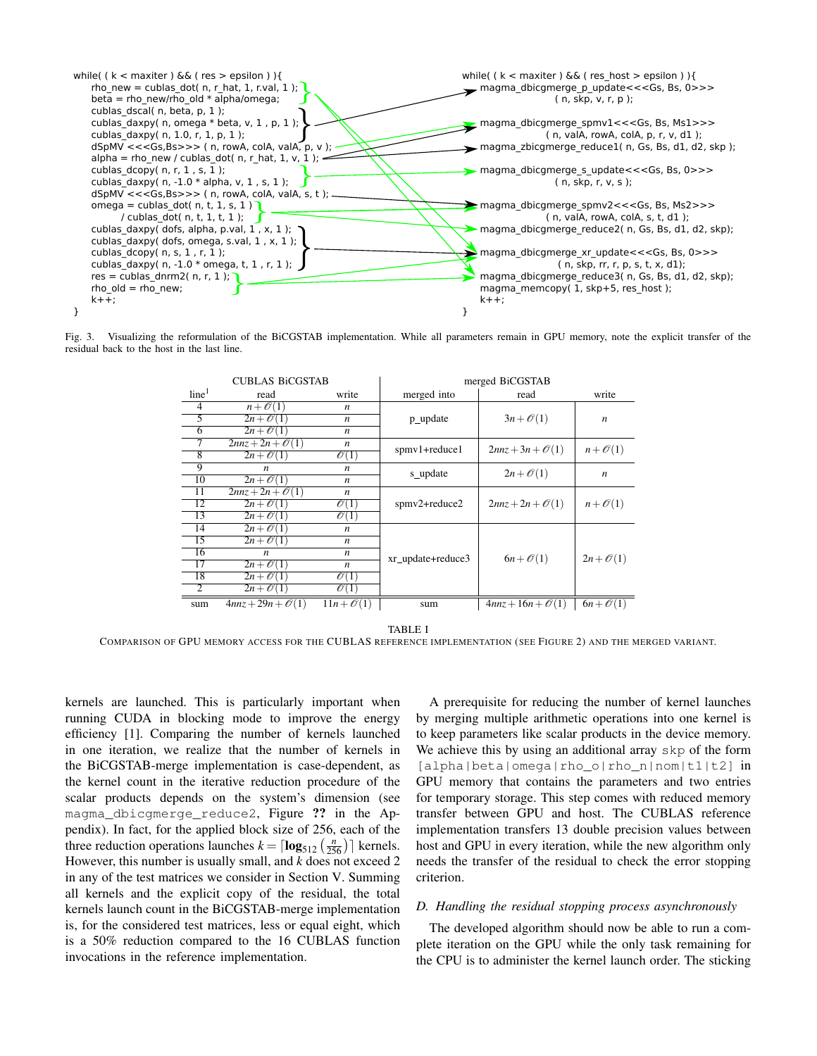

Fig. 3. Visualizing the reformulation of the BiCGSTAB implementation. While all parameters remain in GPU memory, note the explicit transfer of the residual back to the host in the last line.

|                   | <b>CUBLAS BICGSTAB</b>    |                        | merged BiCGSTAB   |                               |                       |  |
|-------------------|---------------------------|------------------------|-------------------|-------------------------------|-----------------------|--|
| line <sup>1</sup> | read                      | write                  | merged into       | read                          | write                 |  |
|                   | $n+\mathcal{O}(1)$        | $\boldsymbol{n}$       |                   |                               |                       |  |
| 5                 | $2n + \mathcal{O}(1)$     | $\boldsymbol{n}$       | p_update          | $3n + \mathcal{O}(1)$         | $\boldsymbol{n}$      |  |
| 6                 | $2n + \mathcal{O}(1)$     | $\boldsymbol{n}$       |                   |                               |                       |  |
|                   | $2nnz+2n+\mathcal{O}(1)$  | $\boldsymbol{n}$       | spmv1+reduce1     | $2nnz+3n+\mathcal{O}(1)$      | $n+\mathcal{O}(1)$    |  |
| 8                 | $2n + \mathcal{O}(1)$     | $\mathscr{O}(1)$       |                   |                               |                       |  |
| 9                 | n                         | $\boldsymbol{n}$       | s update          | $2n + \mathcal{O}(1)$         | $\boldsymbol{n}$      |  |
| 10                | $2n + \mathcal{O}(1)$     | $\boldsymbol{n}$       |                   |                               |                       |  |
| 11                | $2nnz+2n+\mathcal{O}(1)$  | $\boldsymbol{n}$       |                   |                               |                       |  |
| 12                | $2n + \mathcal{O}(1)$     | $\mathcal{O}(1)$       | spmv2+reduce2     | $2nnz+2n+\mathcal{O}(1)$      | $n+\mathcal{O}(1)$    |  |
| 13                | $2n + \mathcal{O}(1)$     | $\mathcal{O}(1)$       |                   |                               |                       |  |
| 14                | $2n + \mathcal{O}(1)$     | $\boldsymbol{n}$       |                   | $6n + \mathcal{O}(1)$         | $2n + \mathcal{O}(1)$ |  |
| 15                | $2n + \mathcal{O}(1)$     | n                      |                   |                               |                       |  |
| 16                | $\boldsymbol{n}$          | $\boldsymbol{n}$       | xr_update+reduce3 |                               |                       |  |
| 17                | $2n + \mathcal{O}(1)$     | $\boldsymbol{n}$       |                   |                               |                       |  |
| 18                | $2n + \mathcal{O}(1)$     | $\mathcal{O}(1)$       |                   |                               |                       |  |
|                   | $2n + \mathcal{O}(1)$     | O(1)                   |                   |                               |                       |  |
| sum               | $4nnz+29n+\mathcal{O}(1)$ | $11n + \mathcal{O}(1)$ | sum               | $4nnz + 16n + \mathcal{O}(1)$ | $6n + \mathcal{O}(1)$ |  |

TABLE I

COMPARISON OF GPU MEMORY ACCESS FOR THE CUBLAS REFERENCE IMPLEMENTATION (SEE FIGURE 2) AND THE MERGED VARIANT.

kernels are launched. This is particularly important when running CUDA in blocking mode to improve the energy efficiency [1]. Comparing the number of kernels launched in one iteration, we realize that the number of kernels in the BiCGSTAB-merge implementation is case-dependent, as the kernel count in the iterative reduction procedure of the scalar products depends on the system's dimension (see magma\_dbicgmerge\_reduce2, Figure ?? in the Appendix). In fact, for the applied block size of 256, each of the three reduction operations launches  $k = \lceil \log_{512} \left( \frac{n}{256} \right) \rceil$  kernels. However, this number is usually small, and *k* does not exceed 2 in any of the test matrices we consider in Section V. Summing all kernels and the explicit copy of the residual, the total kernels launch count in the BiCGSTAB-merge implementation is, for the considered test matrices, less or equal eight, which is a 50% reduction compared to the 16 CUBLAS function invocations in the reference implementation.

A prerequisite for reducing the number of kernel launches by merging multiple arithmetic operations into one kernel is to keep parameters like scalar products in the device memory. We achieve this by using an additional array skp of the form [alpha|beta|omega|rho\_o|rho\_n|nom|t1|t2] in GPU memory that contains the parameters and two entries for temporary storage. This step comes with reduced memory transfer between GPU and host. The CUBLAS reference implementation transfers 13 double precision values between host and GPU in every iteration, while the new algorithm only needs the transfer of the residual to check the error stopping criterion.

# *D. Handling the residual stopping process asynchronously*

The developed algorithm should now be able to run a complete iteration on the GPU while the only task remaining for the CPU is to administer the kernel launch order. The sticking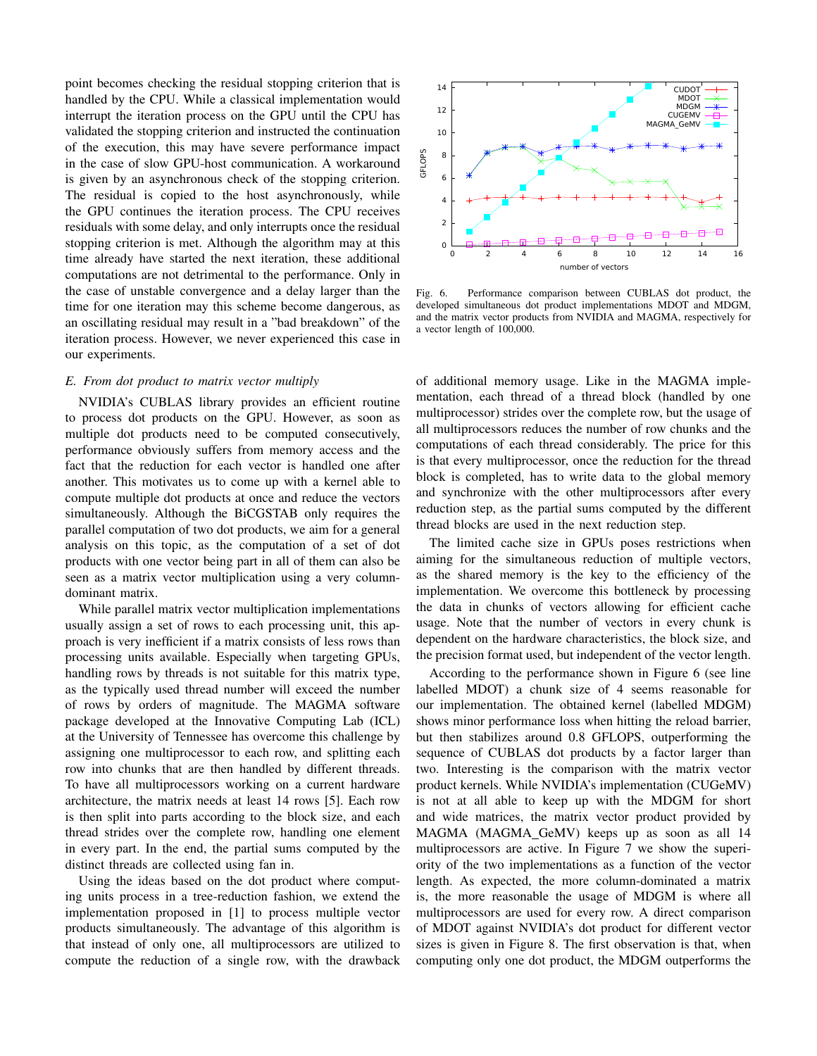point becomes checking the residual stopping criterion that is handled by the CPU. While a classical implementation would interrupt the iteration process on the GPU until the CPU has validated the stopping criterion and instructed the continuation of the execution, this may have severe performance impact in the case of slow GPU-host communication. A workaround is given by an asynchronous check of the stopping criterion. The residual is copied to the host asynchronously, while the GPU continues the iteration process. The CPU receives residuals with some delay, and only interrupts once the residual stopping criterion is met. Although the algorithm may at this time already have started the next iteration, these additional computations are not detrimental to the performance. Only in the case of unstable convergence and a delay larger than the time for one iteration may this scheme become dangerous, as an oscillating residual may result in a "bad breakdown" of the iteration process. However, we never experienced this case in our experiments.

# *E. From dot product to matrix vector multiply*

NVIDIA's CUBLAS library provides an efficient routine to process dot products on the GPU. However, as soon as multiple dot products need to be computed consecutively, performance obviously suffers from memory access and the fact that the reduction for each vector is handled one after another. This motivates us to come up with a kernel able to compute multiple dot products at once and reduce the vectors simultaneously. Although the BiCGSTAB only requires the parallel computation of two dot products, we aim for a general analysis on this topic, as the computation of a set of dot products with one vector being part in all of them can also be seen as a matrix vector multiplication using a very columndominant matrix.

While parallel matrix vector multiplication implementations usually assign a set of rows to each processing unit, this approach is very inefficient if a matrix consists of less rows than processing units available. Especially when targeting GPUs, handling rows by threads is not suitable for this matrix type, as the typically used thread number will exceed the number of rows by orders of magnitude. The MAGMA software package developed at the Innovative Computing Lab (ICL) at the University of Tennessee has overcome this challenge by assigning one multiprocessor to each row, and splitting each row into chunks that are then handled by different threads. To have all multiprocessors working on a current hardware architecture, the matrix needs at least 14 rows [5]. Each row is then split into parts according to the block size, and each thread strides over the complete row, handling one element in every part. In the end, the partial sums computed by the distinct threads are collected using fan in.

Using the ideas based on the dot product where computing units process in a tree-reduction fashion, we extend the implementation proposed in [1] to process multiple vector products simultaneously. The advantage of this algorithm is that instead of only one, all multiprocessors are utilized to compute the reduction of a single row, with the drawback



Fig. 6. Performance comparison between CUBLAS dot product, the developed simultaneous dot product implementations MDOT and MDGM, and the matrix vector products from NVIDIA and MAGMA, respectively for a vector length of 100,000.

of additional memory usage. Like in the MAGMA implementation, each thread of a thread block (handled by one multiprocessor) strides over the complete row, but the usage of all multiprocessors reduces the number of row chunks and the computations of each thread considerably. The price for this is that every multiprocessor, once the reduction for the thread block is completed, has to write data to the global memory and synchronize with the other multiprocessors after every reduction step, as the partial sums computed by the different thread blocks are used in the next reduction step.

The limited cache size in GPUs poses restrictions when aiming for the simultaneous reduction of multiple vectors, as the shared memory is the key to the efficiency of the implementation. We overcome this bottleneck by processing the data in chunks of vectors allowing for efficient cache usage. Note that the number of vectors in every chunk is dependent on the hardware characteristics, the block size, and the precision format used, but independent of the vector length.

According to the performance shown in Figure 6 (see line labelled MDOT) a chunk size of 4 seems reasonable for our implementation. The obtained kernel (labelled MDGM) shows minor performance loss when hitting the reload barrier, but then stabilizes around 0.8 GFLOPS, outperforming the sequence of CUBLAS dot products by a factor larger than two. Interesting is the comparison with the matrix vector product kernels. While NVIDIA's implementation (CUGeMV) is not at all able to keep up with the MDGM for short and wide matrices, the matrix vector product provided by MAGMA (MAGMA GeMV) keeps up as soon as all 14 multiprocessors are active. In Figure 7 we show the superiority of the two implementations as a function of the vector length. As expected, the more column-dominated a matrix is, the more reasonable the usage of MDGM is where all multiprocessors are used for every row. A direct comparison of MDOT against NVIDIA's dot product for different vector sizes is given in Figure 8. The first observation is that, when computing only one dot product, the MDGM outperforms the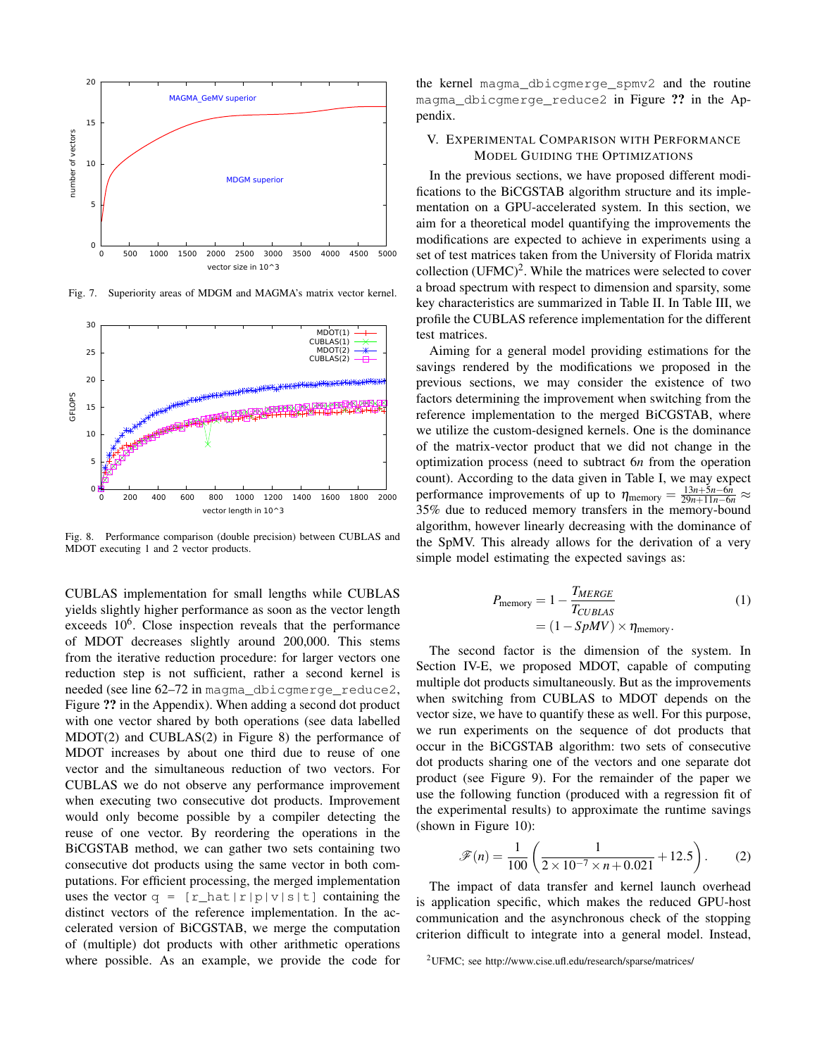

Fig. 7. Superiority areas of MDGM and MAGMA's matrix vector kernel.



Fig. 8. Performance comparison (double precision) between CUBLAS and MDOT executing 1 and 2 vector products.

CUBLAS implementation for small lengths while CUBLAS yields slightly higher performance as soon as the vector length exceeds 10<sup>6</sup>. Close inspection reveals that the performance of MDOT decreases slightly around 200,000. This stems from the iterative reduction procedure: for larger vectors one reduction step is not sufficient, rather a second kernel is needed (see line 62–72 in magma\_dbicgmerge\_reduce2, Figure ?? in the Appendix). When adding a second dot product with one vector shared by both operations (see data labelled MDOT(2) and CUBLAS(2) in Figure 8) the performance of MDOT increases by about one third due to reuse of one vector and the simultaneous reduction of two vectors. For CUBLAS we do not observe any performance improvement when executing two consecutive dot products. Improvement would only become possible by a compiler detecting the reuse of one vector. By reordering the operations in the BiCGSTAB method, we can gather two sets containing two consecutive dot products using the same vector in both computations. For efficient processing, the merged implementation uses the vector  $q = [r \hat{h}at|r|p|v|s|t]$  containing the distinct vectors of the reference implementation. In the accelerated version of BiCGSTAB, we merge the computation of (multiple) dot products with other arithmetic operations where possible. As an example, we provide the code for the kernel magma\_dbicgmerge\_spmv2 and the routine magma\_dbicgmerge\_reduce2 in Figure ?? in the Appendix.

# V. EXPERIMENTAL COMPARISON WITH PERFORMANCE MODEL GUIDING THE OPTIMIZATIONS

In the previous sections, we have proposed different modifications to the BiCGSTAB algorithm structure and its implementation on a GPU-accelerated system. In this section, we aim for a theoretical model quantifying the improvements the modifications are expected to achieve in experiments using a set of test matrices taken from the University of Florida matrix collection  $(UFMC)^2$ . While the matrices were selected to cover a broad spectrum with respect to dimension and sparsity, some key characteristics are summarized in Table II. In Table III, we profile the CUBLAS reference implementation for the different test matrices.

Aiming for a general model providing estimations for the savings rendered by the modifications we proposed in the previous sections, we may consider the existence of two factors determining the improvement when switching from the reference implementation to the merged BiCGSTAB, where we utilize the custom-designed kernels. One is the dominance of the matrix-vector product that we did not change in the optimization process (need to subtract 6*n* from the operation count). According to the data given in Table I, we may expect performance improvements of up to  $\eta_{\text{memory}} = \frac{13n+5n-6n}{29n+11n-6n} \approx$ 35% due to reduced memory transfers in the memory-bound algorithm, however linearly decreasing with the dominance of the SpMV. This already allows for the derivation of a very simple model estimating the expected savings as:

$$
P_{\text{memory}} = 1 - \frac{T_{MERGE}}{T_{CUBLAS}} \tag{1}
$$

$$
= (1 - SpMV) \times \eta_{\text{memory}}.
$$

The second factor is the dimension of the system. In Section IV-E, we proposed MDOT, capable of computing multiple dot products simultaneously. But as the improvements when switching from CUBLAS to MDOT depends on the vector size, we have to quantify these as well. For this purpose, we run experiments on the sequence of dot products that occur in the BiCGSTAB algorithm: two sets of consecutive dot products sharing one of the vectors and one separate dot product (see Figure 9). For the remainder of the paper we use the following function (produced with a regression fit of the experimental results) to approximate the runtime savings (shown in Figure 10):

$$
\mathscr{F}(n) = \frac{1}{100} \left( \frac{1}{2 \times 10^{-7} \times n + 0.021} + 12.5 \right). \tag{2}
$$

The impact of data transfer and kernel launch overhead is application specific, which makes the reduced GPU-host communication and the asynchronous check of the stopping criterion difficult to integrate into a general model. Instead,

<sup>2</sup>UFMC; see http://www.cise.ufl.edu/research/sparse/matrices/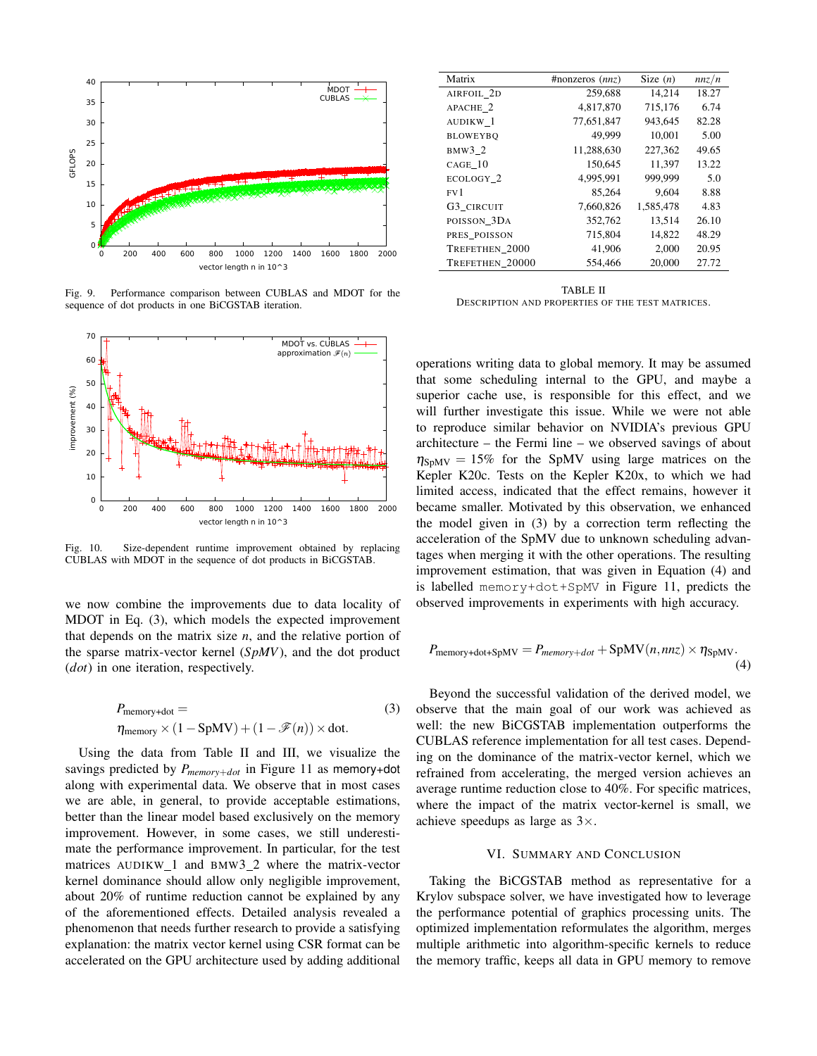

Fig. 9. Performance comparison between CUBLAS and MDOT for the sequence of dot products in one BiCGSTAB iteration.



Fig. 10. Size-dependent runtime improvement obtained by replacing CUBLAS with MDOT in the sequence of dot products in BiCGSTAB.

we now combine the improvements due to data locality of MDOT in Eq. (3), which models the expected improvement that depends on the matrix size *n*, and the relative portion of the sparse matrix-vector kernel (*SpMV*), and the dot product (*dot*) in one iteration, respectively.

$$
P_{\text{memory+dot}} = \eta_{\text{memory}} \times (1 - \text{SpMV}) + (1 - \mathcal{F}(n)) \times \text{dot.}
$$
\n(3)

Using the data from Table II and III, we visualize the savings predicted by *Pmemory*+*dot* in Figure 11 as memory+dot along with experimental data. We observe that in most cases we are able, in general, to provide acceptable estimations, better than the linear model based exclusively on the memory improvement. However, in some cases, we still underestimate the performance improvement. In particular, for the test matrices  $AUDIKW_1$  and  $BMW3_2$  where the matrix-vector kernel dominance should allow only negligible improvement, about 20% of runtime reduction cannot be explained by any of the aforementioned effects. Detailed analysis revealed a phenomenon that needs further research to provide a satisfying explanation: the matrix vector kernel using CSR format can be accelerated on the GPU architecture used by adding additional

| Matrix               | #nonzeros $(nnz)$ | Size $(n)$ | nnz/n |
|----------------------|-------------------|------------|-------|
| AIRFOIL 2D           | 259,688           | 14,214     | 18.27 |
| APACHE 2             | 4,817,870         | 715,176    | 6.74  |
| AUDIKW 1             | 77,651,847        | 943,645    | 82.28 |
| <b>BLOWEYBO</b>      | 49.999            | 10,001     | 5.00  |
| BMW3 2               | 11,288,630        | 227,362    | 49.65 |
| CAGE 10              | 150.645           | 11,397     | 13.22 |
| ECOLOGY <sub>2</sub> | 4,995,991         | 999,999    | 5.0   |
| FV <sub>1</sub>      | 85,264            | 9.604      | 8.88  |
| G3 CIRCUIT           | 7,660,826         | 1,585,478  | 4.83  |
| POISSON 3DA          | 352,762           | 13,514     | 26.10 |
| PRES POISSON         | 715,804           | 14,822     | 48.29 |
| TREFETHEN 2000       | 41,906            | 2,000      | 20.95 |
| TREFETHEN 20000      | 554,466           | 20,000     | 27.72 |

TABLE II DESCRIPTION AND PROPERTIES OF THE TEST MATRICES.

operations writing data to global memory. It may be assumed that some scheduling internal to the GPU, and maybe a superior cache use, is responsible for this effect, and we will further investigate this issue. While we were not able to reproduce similar behavior on NVIDIA's previous GPU architecture – the Fermi line – we observed savings of about  $\eta_{\text{SDMV}} = 15\%$  for the SpMV using large matrices on the Kepler K20c. Tests on the Kepler K20x, to which we had limited access, indicated that the effect remains, however it became smaller. Motivated by this observation, we enhanced the model given in (3) by a correction term reflecting the acceleration of the SpMV due to unknown scheduling advantages when merging it with the other operations. The resulting improvement estimation, that was given in Equation (4) and is labelled memory+dot+SpMV in Figure 11, predicts the observed improvements in experiments with high accuracy.

$$
P_{\text{memory+dot+SpMV}} = P_{\text{memory+dot}} + SpMV(n, nnz) \times \eta_{\text{SpMV}}.\tag{4}
$$

Beyond the successful validation of the derived model, we observe that the main goal of our work was achieved as well: the new BiCGSTAB implementation outperforms the CUBLAS reference implementation for all test cases. Depending on the dominance of the matrix-vector kernel, which we refrained from accelerating, the merged version achieves an average runtime reduction close to 40%. For specific matrices, where the impact of the matrix vector-kernel is small, we achieve speedups as large as 3×.

#### VI. SUMMARY AND CONCLUSION

Taking the BiCGSTAB method as representative for a Krylov subspace solver, we have investigated how to leverage the performance potential of graphics processing units. The optimized implementation reformulates the algorithm, merges multiple arithmetic into algorithm-specific kernels to reduce the memory traffic, keeps all data in GPU memory to remove